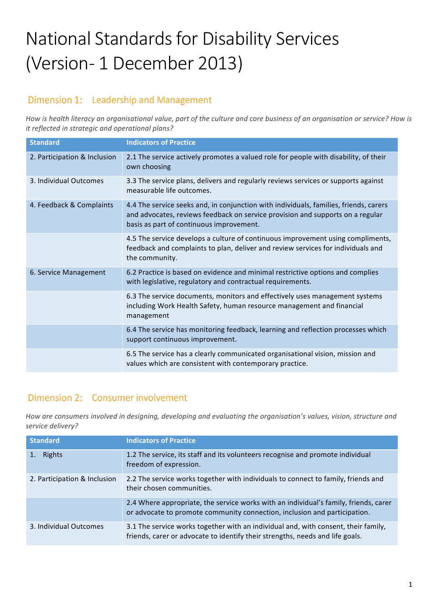# National Standards for Disability Services (Version- 1 December 2013)

#### Dimension 1: Leadership and Management

How is health literacy an organisational value, part of the culture and core business of an organisation or service? How is *it reflected in strategic and operational plans?* 

| <b>Standard</b>              | <b>Indicators of Practice</b>                                                                                                                                                                                       |
|------------------------------|---------------------------------------------------------------------------------------------------------------------------------------------------------------------------------------------------------------------|
| 2. Participation & Inclusion | 2.1 The service actively promotes a valued role for people with disability, of their<br>own choosing                                                                                                                |
| 3. Individual Outcomes       | 3.3 The service plans, delivers and regularly reviews services or supports against<br>measurable life outcomes.                                                                                                     |
| 4. Feedback & Complaints     | 4.4 The service seeks and, in conjunction with individuals, families, friends, carers<br>and advocates, reviews feedback on service provision and supports on a regular<br>basis as part of continuous improvement. |
|                              | 4.5 The service develops a culture of continuous improvement using compliments,<br>feedback and complaints to plan, deliver and review services for individuals and<br>the community.                               |
| 6. Service Management        | 6.2 Practice is based on evidence and minimal restrictive options and complies<br>with legislative, regulatory and contractual requirements.                                                                        |
|                              | 6.3 The service documents, monitors and effectively uses management systems<br>including Work Health Safety, human resource management and financial<br>management                                                  |
|                              | 6.4 The service has monitoring feedback, learning and reflection processes which<br>support continuous improvement.                                                                                                 |
|                              | 6.5 The service has a clearly communicated organisational vision, mission and<br>values which are consistent with contemporary practice.                                                                            |

#### Dimension 2: Consumer involvement

How are consumers involved in designing, developing and evaluating the organisation's values, vision, structure and *service delivery?*

| <b>Standard</b>              | <b>Indicators of Practice</b>                                                                                                                                       |
|------------------------------|---------------------------------------------------------------------------------------------------------------------------------------------------------------------|
| Rights                       | 1.2 The service, its staff and its volunteers recognise and promote individual<br>freedom of expression.                                                            |
| 2. Participation & Inclusion | 2.2 The service works together with individuals to connect to family, friends and<br>their chosen communities.                                                      |
|                              | 2.4 Where appropriate, the service works with an individual's family, friends, carer<br>or advocate to promote community connection, inclusion and participation.   |
| 3. Individual Outcomes       | 3.1 The service works together with an individual and, with consent, their family,<br>friends, carer or advocate to identify their strengths, needs and life goals. |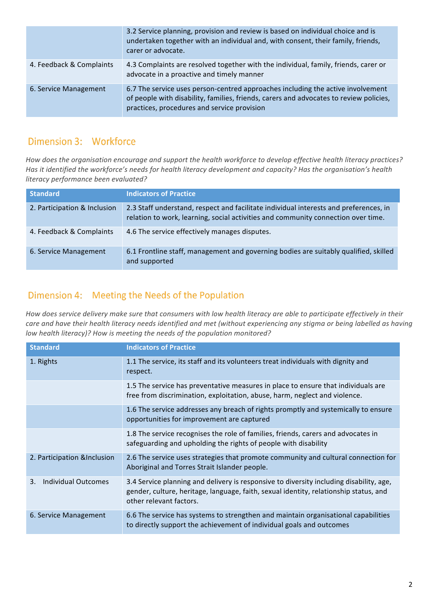|                          | 3.2 Service planning, provision and review is based on individual choice and is<br>undertaken together with an individual and, with consent, their family, friends,<br>carer or advocate.                                |
|--------------------------|--------------------------------------------------------------------------------------------------------------------------------------------------------------------------------------------------------------------------|
| 4. Feedback & Complaints | 4.3 Complaints are resolved together with the individual, family, friends, carer or<br>advocate in a proactive and timely manner                                                                                         |
| 6. Service Management    | 6.7 The service uses person-centred approaches including the active involvement<br>of people with disability, families, friends, carers and advocates to review policies,<br>practices, procedures and service provision |

## Dimension 3: Workforce

How does the organisation encourage and support the health workforce to develop effective health literacy practices? Has it identified the workforce's needs for health literacy development and capacity? Has the organisation's health *literacy performance been evaluated?*

| <b>Standard</b>              | <b>Indicators of Practice</b>                                                                                                                                              |
|------------------------------|----------------------------------------------------------------------------------------------------------------------------------------------------------------------------|
| 2. Participation & Inclusion | 2.3 Staff understand, respect and facilitate individual interests and preferences, in<br>relation to work, learning, social activities and community connection over time. |
| 4. Feedback & Complaints     | 4.6 The service effectively manages disputes.                                                                                                                              |
| 6. Service Management        | 6.1 Frontline staff, management and governing bodies are suitably qualified, skilled<br>and supported                                                                      |

## Dimension 4: Meeting the Needs of the Population

How does service delivery make sure that consumers with low health literacy are able to participate effectively in their care and have their health literacy needs identified and met (without experiencing any stigma or being labelled as having *low health literacy)?* How is meeting the needs of the population monitored?

| <b>Standard</b>                  | <b>Indicators of Practice</b>                                                                                                                                                                               |
|----------------------------------|-------------------------------------------------------------------------------------------------------------------------------------------------------------------------------------------------------------|
| 1. Rights                        | 1.1 The service, its staff and its volunteers treat individuals with dignity and<br>respect.                                                                                                                |
|                                  | 1.5 The service has preventative measures in place to ensure that individuals are<br>free from discrimination, exploitation, abuse, harm, neglect and violence.                                             |
|                                  | 1.6 The service addresses any breach of rights promptly and systemically to ensure<br>opportunities for improvement are captured                                                                            |
|                                  | 1.8 The service recognises the role of families, friends, carers and advocates in<br>safeguarding and upholding the rights of people with disability                                                        |
| 2. Participation & Inclusion     | 2.6 The service uses strategies that promote community and cultural connection for<br>Aboriginal and Torres Strait Islander people.                                                                         |
| <b>Individual Outcomes</b><br>3. | 3.4 Service planning and delivery is responsive to diversity including disability, age,<br>gender, culture, heritage, language, faith, sexual identity, relationship status, and<br>other relevant factors. |
| 6. Service Management            | 6.6 The service has systems to strengthen and maintain organisational capabilities<br>to directly support the achievement of individual goals and outcomes                                                  |